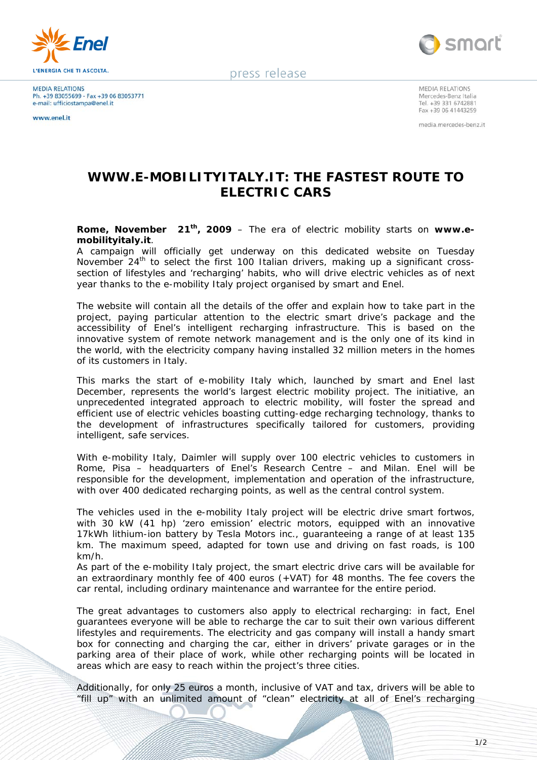

**MEDIA RELATIONS** Ph. +39 83055699 - Fax +39 06 83053771<br>e-mail: ufficiostampa@enel.it

**WWW enel it** 



press release

MEDIA RELATIONS Mercedes-Benz Italia Tel. +39 331 6742881 Fax +39 06 41443259

media.mercedes-benz.it

## **WWW.E-MOBILITYITALY.IT: THE FASTEST ROUTE TO ELECTRIC CARS**

**Rome, November 21th, 2009** – The era of electric mobility starts on **www.emobilityitaly.it**.

A campaign will officially get underway on this dedicated website on Tuesday November 24<sup>th</sup> to select the first 100 Italian drivers, making up a significant crosssection of lifestyles and 'recharging' habits, who will drive electric vehicles as of next year thanks to the e-mobility Italy project organised by smart and Enel.

The website will contain all the details of the offer and explain how to take part in the project, paying particular attention to the electric smart drive's package and the accessibility of Enel's intelligent recharging infrastructure. This is based on the innovative system of remote network management and is the only one of its kind in the world, with the electricity company having installed 32 million meters in the homes of its customers in Italy.

This marks the start of e-mobility Italy which, launched by smart and Enel last December, represents the world's largest electric mobility project. The initiative, an unprecedented integrated approach to electric mobility, will foster the spread and efficient use of electric vehicles boasting cutting-edge recharging technology, thanks to the development of infrastructures specifically tailored for customers, providing intelligent, safe services.

With e-mobility Italy, Daimler will supply over 100 electric vehicles to customers in Rome, Pisa – headquarters of Enel's Research Centre – and Milan. Enel will be responsible for the development, implementation and operation of the infrastructure, with over 400 dedicated recharging points, as well as the central control system.

The vehicles used in the e-mobility Italy project will be electric drive smart fortwos, with 30 kW (41 hp) 'zero emission' electric motors, equipped with an innovative 17kWh lithium-ion battery by Tesla Motors inc., guaranteeing a range of at least 135 km. The maximum speed, adapted for town use and driving on fast roads, is 100 km/h.

As part of the e-mobility Italy project, the smart electric drive cars will be available for an extraordinary monthly fee of 400 euros (+VAT) for 48 months. The fee covers the car rental, including ordinary maintenance and warrantee for the entire period.

The great advantages to customers also apply to electrical recharging: in fact, Enel guarantees everyone will be able to recharge the car to suit their own various different lifestyles and requirements. The electricity and gas company will install a handy smart box for connecting and charging the car, either in drivers' private garages or in the parking area of their place of work, while other recharging points will be located in areas which are easy to reach within the project's three cities.

Additionally, for only 25 euros a month, inclusive of VAT and tax, drivers will be able to "fill up" with an unlimited amount of "clean" electricity at all of Enel's recharging